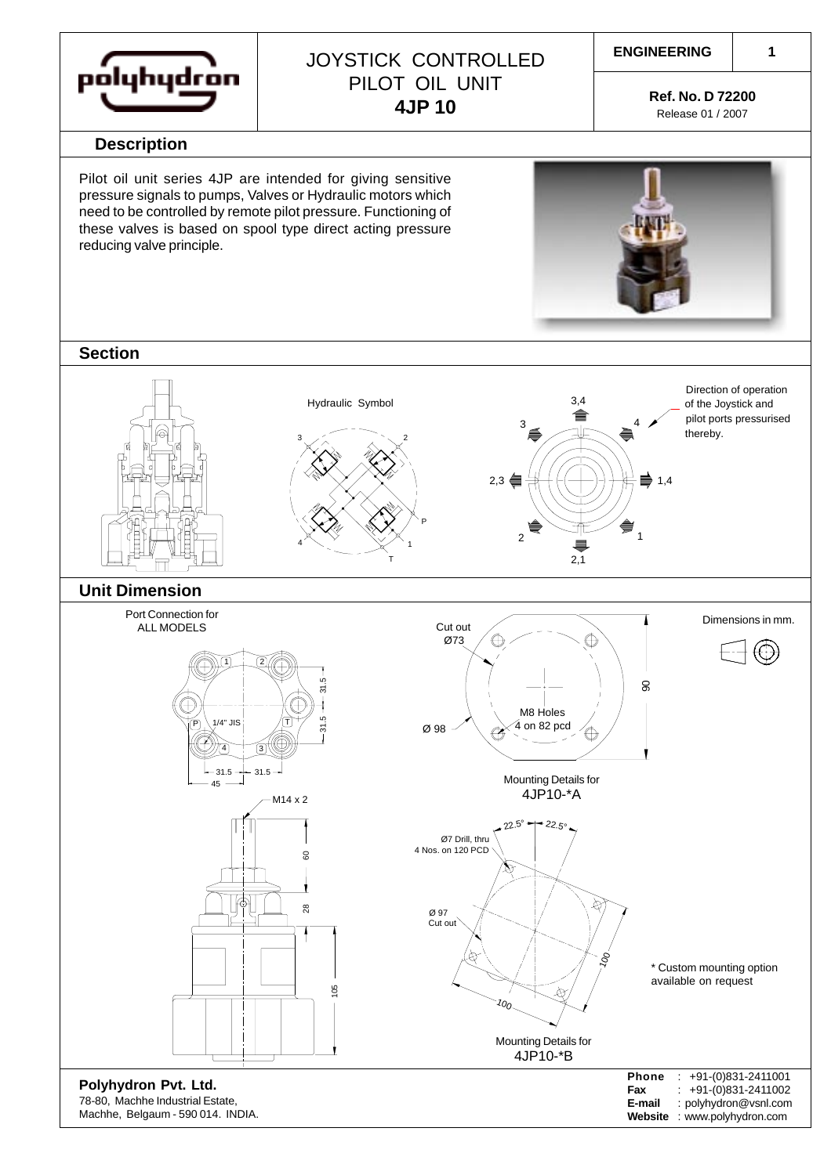

## JOYSTICK CONTROLLED PILOT OIL UNIT **4JP 10**

**Ref. No. D 72200**

**1**

Release 01 / 2007

**Website** : www.polyhydron.com

#### **Description**

Pilot oil unit series 4JP are intended for giving sensitive pressure signals to pumps, Valves or Hydraulic motors which need to be controlled by remote pilot pressure. Functioning of these valves is based on spool type direct acting pressure reducing valve principle.



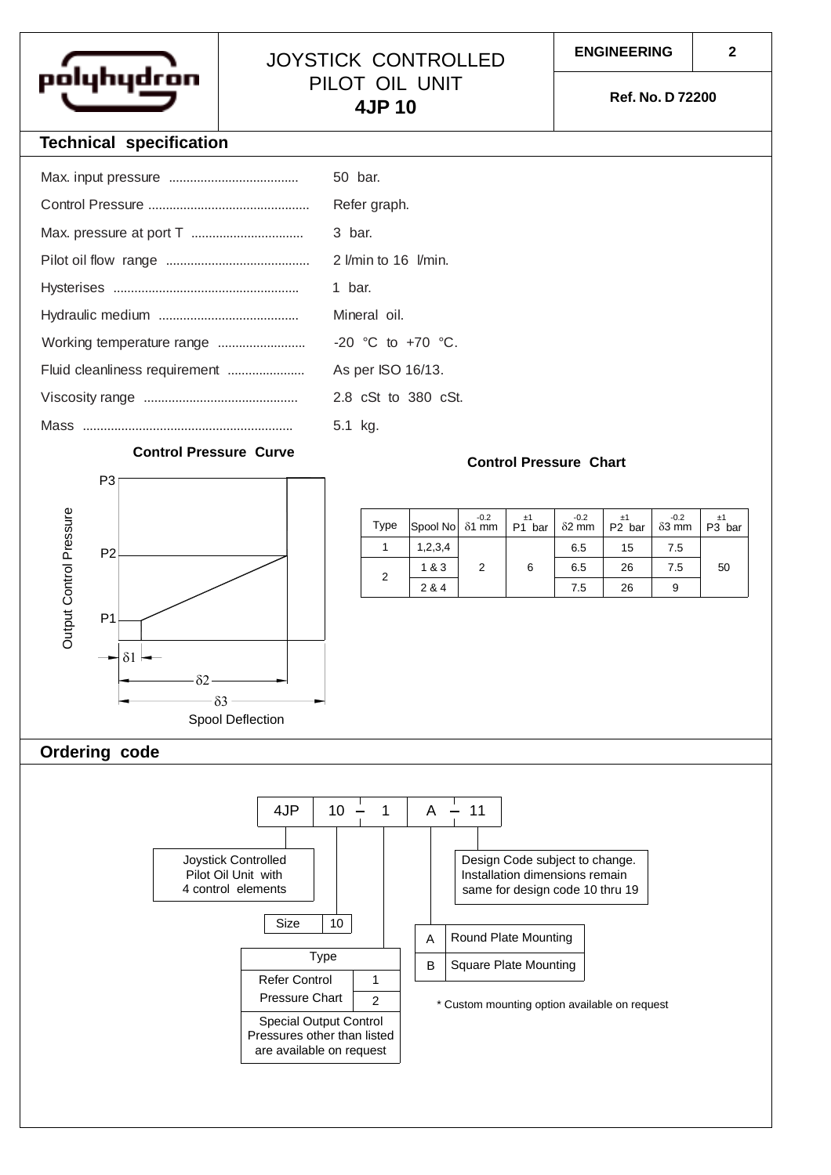

### JOYSTICK CONTROLLED PILOT OIL UNIT **4JP 10**

**Ref. No. D 72200**

#### **Technical specification**

|                           | 50 bar.               |
|---------------------------|-----------------------|
|                           | Refer graph.          |
|                           | 3 bar.                |
|                           | 2 Vmin to 16 Vmin.    |
|                           | 1 bar.                |
|                           | Mineral oil.          |
| Working temperature range | $-20$ °C to $+70$ °C. |
|                           | As per ISO 16/13.     |
|                           | 2.8 cSt to 380 cSt.   |
|                           | 5.1 kg.               |

#### **Control Pressure Curve**

# P3 Output Control Pressure Output Control Pressure P2 P1 δ1 δ2  $-δ3 -$ Spool Deflection

| Type | Spool No δ1 mm | $-0.2$         | ±1<br>P1 bar | $-0.2$<br>$\delta$ 2 mm | ±1<br>P2 bar | $-0.2$<br>$\delta$ 3 mm | ±1<br>P <sub>3</sub> bar |
|------|----------------|----------------|--------------|-------------------------|--------------|-------------------------|--------------------------|
|      | 1,2,3,4        |                |              | 6.5                     | 15           | 7.5                     |                          |
| 2    | 1&3            | $\mathfrak{p}$ | 6            | 6.5                     | 26           | 7.5                     | 50                       |
|      | 2 & 4          |                |              | 7.5                     | 26           | 9                       |                          |

**Control Pressure Chart**

#### **Ordering code**

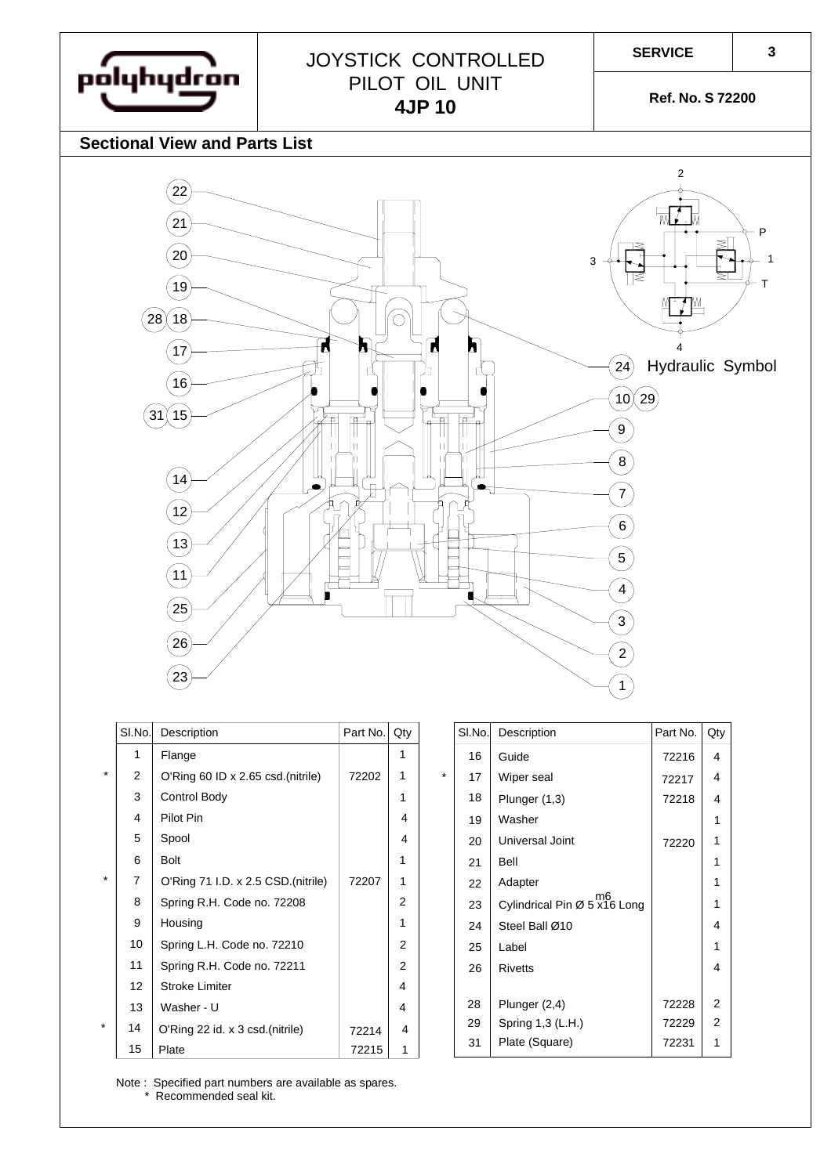**SERVICE**

JOYSTICK CONTROLLED PILOT OIL UNIT

**4JP 10**

**Ref. No. S 72200**

#### **Sectional View and Parts List**

pólyhydron



|                     | SI.No.         | Description                        | Part No. | Qty            |         | SI.No.         | Description                                 | Part No. |
|---------------------|----------------|------------------------------------|----------|----------------|---------|----------------|---------------------------------------------|----------|
|                     | 1              | Flange                             |          | 1              |         | 16             | Guide                                       | 72216    |
| $\star$             | $\overline{2}$ | O'Ring 60 ID x 2.65 csd.(nitrile)  | 72202    | 1              | $\star$ | 17             | Wiper seal                                  | 72217    |
|                     | 3              | Control Body                       |          | 1              |         | 18             | Plunger $(1,3)$                             | 72218    |
|                     | $\overline{4}$ | Pilot Pin                          |          | 4              |         | 19             | Washer                                      |          |
|                     | 5              | Spool                              |          | 4              |         | 20             | Universal Joint                             | 72220    |
|                     | 6              | <b>Bolt</b>                        |          |                |         | 21             | Bell                                        |          |
| $\star$             | $\overline{7}$ | O'Ring 71 I.D. x 2.5 CSD.(nitrile) | 72207    | 1              |         | 22             | Adapter                                     |          |
|                     | 8              | Spring R.H. Code no. 72208         |          | $\mathcal{P}$  |         | 23             | $Cy$ lindrical Pin $\varnothing$ 5 x16 Long |          |
|                     | 9              | Housing                            |          |                |         | 24             | Steel Ball Ø10                              |          |
|                     | 10             | Spring L.H. Code no. 72210         |          | $\overline{2}$ |         | 25             | Label                                       |          |
|                     | 11             | Spring R.H. Code no. 72211         |          | 2              |         | 26             | <b>Rivetts</b>                              |          |
|                     | 12             | <b>Stroke Limiter</b>              |          | 4              |         |                |                                             |          |
|                     | 13             | Washer - U                         |          | 4              |         | 28             | Plunger (2,4)                               | 72228    |
| $\star$<br>14<br>15 |                | O'Ring 22 id. x 3 csd. (nitrile)   | 72214    | 4              |         | 29             | Spring 1,3 (L.H.)                           | 72229    |
|                     | Plate          | 72215                              | 1        |                | 31      | Plate (Square) | 72231                                       |          |

| 1              |         | 16                                       | Guide             | 72216 | $\overline{4}$ |
|----------------|---------|------------------------------------------|-------------------|-------|----------------|
| 1              | $\star$ | 17                                       | Wiper seal        | 72217 | $\overline{4}$ |
| 1              | 18      |                                          | Plunger (1,3)     | 72218 | 4              |
| 4              |         | 19                                       | Washer            |       | 1              |
| $\overline{4}$ | 20      |                                          | Universal Joint   |       | 1              |
| 1              |         | 21                                       | Bell              |       | 1              |
| 1              |         | 22                                       | Adapter           |       | 1              |
| 2              |         | m6<br>Cylindrical Pin Ø 5 x16 Long<br>23 |                   |       | 1              |
| 1              | 24      |                                          | Steel Ball Ø10    |       | 4              |
| 2              | 25      |                                          | Label             |       | 1              |
| 2              |         | 26                                       | <b>Rivetts</b>    |       | 4              |
| 4              |         |                                          |                   |       |                |
| 4              |         | 28                                       | Plunger (2,4)     | 72228 | $\overline{2}$ |
| $\overline{4}$ |         | 29                                       | Spring 1,3 (L.H.) | 72229 | 2              |
| 1              |         | 31                                       | Plate (Square)    | 72231 | 1              |

 $Part$  No.  $Qty$ 

Note : Specified part numbers are available as spares. \* Recommended seal kit.